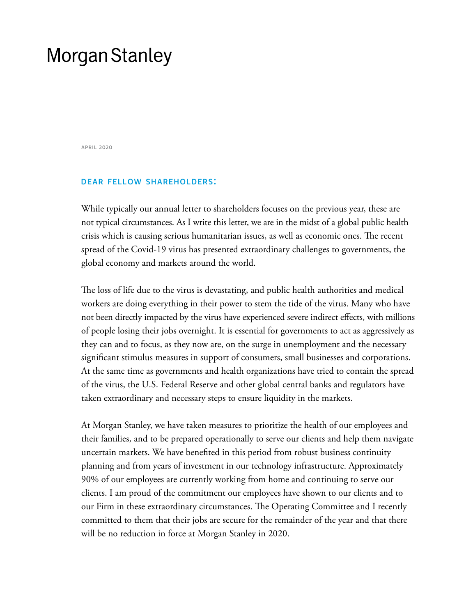# **Morgan Stanley**

april 2020

# dear fellow shareholders:

While typically our annual letter to shareholders focuses on the previous year, these are not typical circumstances. As I write this letter, we are in the midst of a global public health crisis which is causing serious humanitarian issues, as well as economic ones. The recent spread of the Covid-19 virus has presented extraordinary challenges to governments, the global economy and markets around the world.

The loss of life due to the virus is devastating, and public health authorities and medical workers are doing everything in their power to stem the tide of the virus. Many who have not been directly impacted by the virus have experienced severe indirect effects, with millions of people losing their jobs overnight. It is essential for governments to act as aggressively as they can and to focus, as they now are, on the surge in unemployment and the necessary significant stimulus measures in support of consumers, small businesses and corporations. At the same time as governments and health organizations have tried to contain the spread of the virus, the U.S. Federal Reserve and other global central banks and regulators have taken extraordinary and necessary steps to ensure liquidity in the markets.

At Morgan Stanley, we have taken measures to prioritize the health of our employees and their families, and to be prepared operationally to serve our clients and help them navigate uncertain markets. We have benefited in this period from robust business continuity planning and from years of investment in our technology infrastructure. Approximately 90% of our employees are currently working from home and continuing to serve our clients. I am proud of the commitment our employees have shown to our clients and to our Firm in these extraordinary circumstances. The Operating Committee and I recently committed to them that their jobs are secure for the remainder of the year and that there will be no reduction in force at Morgan Stanley in 2020.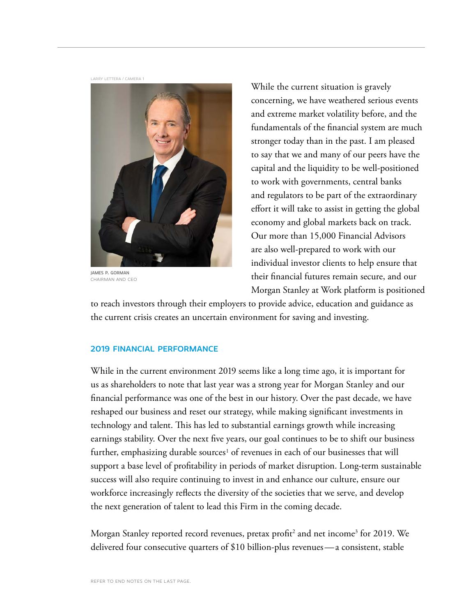LARRY LETTERA / CAMERA 1



james p. gorman chairman and ceo

While the current situation is gravely concerning, we have weathered serious events and extreme market volatility before, and the fundamentals of the financial system are much stronger today than in the past. I am pleased to say that we and many of our peers have the capital and the liquidity to be well-positioned to work with governments, central banks and regulators to be part of the extraordinary effort it will take to assist in getting the global economy and global markets back on track. Our more than 15,000 Financial Advisors are also well-prepared to work with our individual investor clients to help ensure that their financial futures remain secure, and our Morgan Stanley at Work platform is positioned

to reach investors through their employers to provide advice, education and guidance as the current crisis creates an uncertain environment for saving and investing.

#### 2019 financial performance

While in the current environment 2019 seems like a long time ago, it is important for us as shareholders to note that last year was a strong year for Morgan Stanley and our financial performance was one of the best in our history. Over the past decade, we have reshaped our business and reset our strategy, while making significant investments in technology and talent. This has led to substantial earnings growth while increasing earnings stability. Over the next five years, our goal continues to be to shift our business further, emphasizing durable sources<sup>1</sup> of revenues in each of our businesses that will support a base level of profitability in periods of market disruption. Long-term sustainable success will also require continuing to invest in and enhance our culture, ensure our workforce increasingly reflects the diversity of the societies that we serve, and develop the next generation of talent to lead this Firm in the coming decade.

Morgan Stanley reported record revenues, pretax profit<sup>2</sup> and net income<sup>3</sup> for 2019. We delivered four consecutive quarters of \$10 billion-plus revenues—a consistent, stable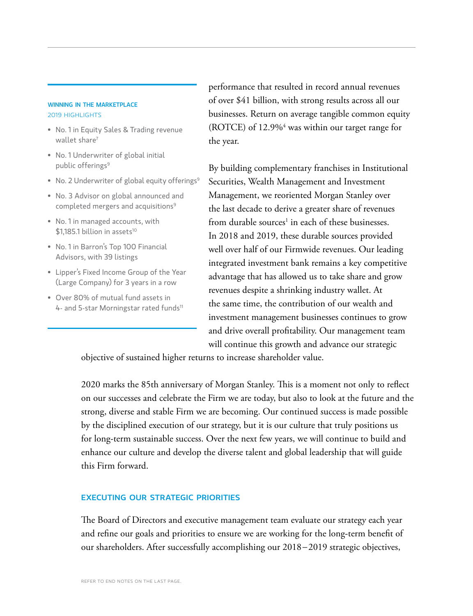#### WINNING IN THE MARKETPLACE 2019 highlights

- No. 1 in Equity Sales & Trading revenue wallet share<sup>7</sup>
- No. 1 Underwriter of global initial public offerings<sup>9</sup>
- No. 2 Underwriter of global equity offerings<sup>9</sup>
- No. 3 Advisor on global announced and completed mergers and acquisitions<sup>9</sup>
- No. 1 in managed accounts, with \$1,185.1 billion in assets<sup>10</sup>
- No. 1 in Barron's Top 100 Financial Advisors, with 39 listings
- Lipper's Fixed Income Group of the Year (Large Company) for 3 years in a row
- Over 80% of mutual fund assets in 4- and 5-star Morningstar rated funds<sup>11</sup>

performance that resulted in record annual revenues of over \$41 billion, with strong results across all our businesses. Return on average tangible common equity (ROTCE) of 12.9%<sup>4</sup> was within our target range for the year.

By building complementary franchises in Institutional Securities, Wealth Management and Investment Management, we reoriented Morgan Stanley over the last decade to derive a greater share of revenues from durable sources<sup>1</sup> in each of these businesses. In 2018 and 2019, these durable sources provided well over half of our Firmwide revenues. Our leading integrated investment bank remains a key competitive advantage that has allowed us to take share and grow revenues despite a shrinking industry wallet. At the same time, the contribution of our wealth and investment management businesses continues to grow and drive overall profitability. Our management team will continue this growth and advance our strategic

objective of sustained higher returns to increase shareholder value.

2020 marks the 85th anniversary of Morgan Stanley. This is a moment not only to reflect on our successes and celebrate the Firm we are today, but also to look at the future and the strong, diverse and stable Firm we are becoming. Our continued success is made possible by the disciplined execution of our strategy, but it is our culture that truly positions us for long-term sustainable success. Over the next few years, we will continue to build and enhance our culture and develop the diverse talent and global leadership that will guide this Firm forward.

# executing our strategic priorities

The Board of Directors and executive management team evaluate our strategy each year and refine our goals and priorities to ensure we are working for the long-term benefit of our shareholders. After successfully accomplishing our 2018–2019 strategic objectives,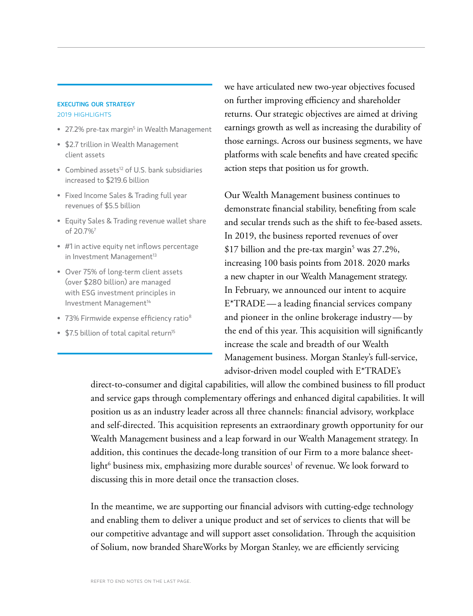#### executing our strategy 2019 highlights

- $\bullet~$  27.2% pre-tax margin $^5$  in Wealth Management
- \$2.7 trillion in Wealth Management client assets
- Combined assets<sup>12</sup> of U.S. bank subsidiaries increased to \$219.6 billion
- Fixed Income Sales & Trading full year revenues of \$5.5 billion
- Equity Sales & Trading revenue wallet share of 20.7%7
- #1 in active equity net inflows percentage in Investment Management<sup>13</sup>
- Over 75% of long-term client assets (over \$280 billion) are managed with ESG investment principles in Investment Management<sup>14</sup>
- 73% Firmwide expense efficiency ratio<sup>8</sup>
- \$7.5 billion of total capital return<sup>15</sup>

we have articulated new two-year objectives focused on further improving efficiency and shareholder returns. Our strategic objectives are aimed at driving earnings growth as well as increasing the durability of those earnings. Across our business segments, we have platforms with scale benefits and have created specific action steps that position us for growth.

Our Wealth Management business continues to demonstrate financial stability, benefiting from scale and secular trends such as the shift to fee-based assets. In 2019, the business reported revenues of over  $$17$  billion and the pre-tax margin<sup>5</sup> was 27.2%, increasing 100 basis points from 2018. 2020 marks a new chapter in our Wealth Management strategy. In February, we announced our intent to acquire E\*TRADE—a leading financial services company and pioneer in the online brokerage industry—by the end of this year. This acquisition will significantly increase the scale and breadth of our Wealth Management business. Morgan Stanley's full-service, advisor-driven model coupled with E\*TRADE's

direct-to-consumer and digital capabilities, will allow the combined business to fill product and service gaps through complementary offerings and enhanced digital capabilities. It will position us as an industry leader across all three channels: financial advisory, workplace and self-directed. This acquisition represents an extraordinary growth opportunity for our Wealth Management business and a leap forward in our Wealth Management strategy. In addition, this continues the decade-long transition of our Firm to a more balance sheetlight $^6$  business mix, emphasizing more durable sources $^1$  of revenue. We look forward to discussing this in more detail once the transaction closes.

In the meantime, we are supporting our financial advisors with cutting-edge technology and enabling them to deliver a unique product and set of services to clients that will be our competitive advantage and will support asset consolidation. Through the acquisition of Solium, now branded ShareWorks by Morgan Stanley, we are efficiently servicing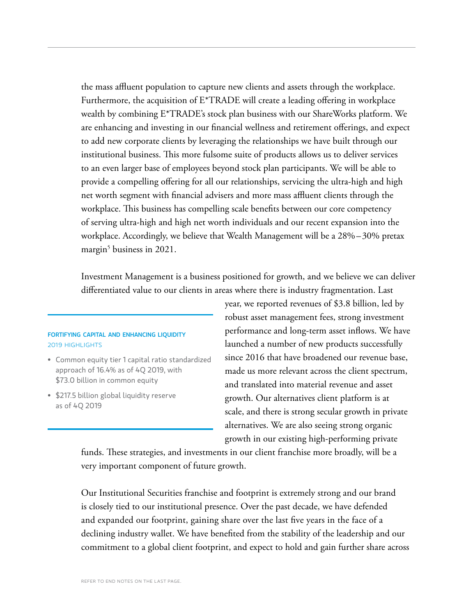the mass affluent population to capture new clients and assets through the workplace. Furthermore, the acquisition of E\*TRADE will create a leading offering in workplace wealth by combining E\*TRADE's stock plan business with our ShareWorks platform. We are enhancing and investing in our financial wellness and retirement offerings, and expect to add new corporate clients by leveraging the relationships we have built through our institutional business. This more fulsome suite of products allows us to deliver services to an even larger base of employees beyond stock plan participants. We will be able to provide a compelling offering for all our relationships, servicing the ultra-high and high net worth segment with financial advisers and more mass affluent clients through the workplace. This business has compelling scale benefits between our core competency of serving ultra-high and high net worth individuals and our recent expansion into the workplace. Accordingly, we believe that Wealth Management will be a 28%–30% pretax margin<sup>5</sup> business in 2021.

Investment Management is a business positioned for growth, and we believe we can deliver differentiated value to our clients in areas where there is industry fragmentation. Last

# fortifying capital and enhancing liquidity 2019 highlights

- Common equity tier 1 capital ratio standardized approach of 16.4% as of 4Q 2019, with \$73.0 billion in common equity
- \$217.5 billion global liquidity reserve as of 4Q 2019

year, we reported revenues of \$3.8 billion, led by robust asset management fees, strong investment performance and long-term asset inflows. We have launched a number of new products successfully since 2016 that have broadened our revenue base, made us more relevant across the client spectrum, and translated into material revenue and asset growth. Our alternatives client platform is at scale, and there is strong secular growth in private alternatives. We are also seeing strong organic growth in our existing high-performing private

funds. These strategies, and investments in our client franchise more broadly, will be a very important component of future growth.

Our Institutional Securities franchise and footprint is extremely strong and our brand is closely tied to our institutional presence. Over the past decade, we have defended and expanded our footprint, gaining share over the last five years in the face of a declining industry wallet. We have benefited from the stability of the leadership and our commitment to a global client footprint, and expect to hold and gain further share across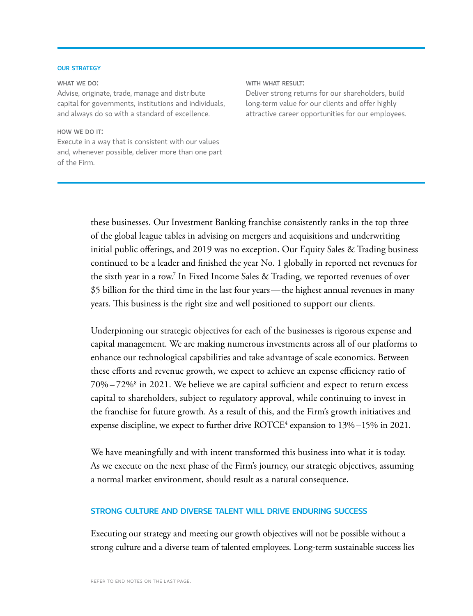#### **OUR STRATEGY**

#### WHAT WE DO:

Advise, originate, trade, manage and distribute capital for governments, institutions and individuals, and always do so with a standard of excellence.

# HOW WE DO IT: Execute in a way that is consistent with our values and, whenever possible, deliver more than one part of the Firm.

#### WITH WHAT RESULT:

Deliver strong returns for our shareholders, build long-term value for our clients and offer highly attractive career opportunities for our employees.

these businesses. Our Investment Banking franchise consistently ranks in the top three of the global league tables in advising on mergers and acquisitions and underwriting initial public offerings, and 2019 was no exception. Our Equity Sales & Trading business continued to be a leader and finished the year No. 1 globally in reported net revenues for the sixth year in a row.7 In Fixed Income Sales & Trading, we reported revenues of over \$5 billion for the third time in the last four years—the highest annual revenues in many years. This business is the right size and well positioned to support our clients.

Underpinning our strategic objectives for each of the businesses is rigorous expense and capital management. We are making numerous investments across all of our platforms to enhance our technological capabilities and take advantage of scale economics. Between these efforts and revenue growth, we expect to achieve an expense efficiency ratio of  $70\% - 72\%$  in 2021. We believe we are capital sufficient and expect to return excess capital to shareholders, subject to regulatory approval, while continuing to invest in the franchise for future growth. As a result of this, and the Firm's growth initiatives and expense discipline, we expect to further drive  $\rm{ROTCE^4}$  expansion to  $13\%$  –15% in 2021.

We have meaningfully and with intent transformed this business into what it is today. As we execute on the next phase of the Firm's journey, our strategic objectives, assuming a normal market environment, should result as a natural consequence.

# strong culture and diverse talent will drive enduring success

Executing our strategy and meeting our growth objectives will not be possible without a strong culture and a diverse team of talented employees. Long-term sustainable success lies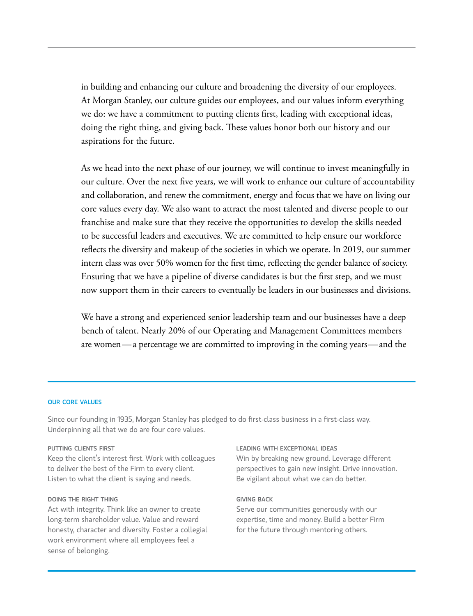in building and enhancing our culture and broadening the diversity of our employees. At Morgan Stanley, our culture guides our employees, and our values inform everything we do: we have a commitment to putting clients first, leading with exceptional ideas, doing the right thing, and giving back. These values honor both our history and our aspirations for the future.

As we head into the next phase of our journey, we will continue to invest meaningfully in our culture. Over the next five years, we will work to enhance our culture of accountability and collaboration, and renew the commitment, energy and focus that we have on living our core values every day. We also want to attract the most talented and diverse people to our franchise and make sure that they receive the opportunities to develop the skills needed to be successful leaders and executives. We are committed to help ensure our workforce reflects the diversity and makeup of the societies in which we operate. In 2019, our summer intern class was over 50% women for the first time, reflecting the gender balance of society. Ensuring that we have a pipeline of diverse candidates is but the first step, and we must now support them in their careers to eventually be leaders in our businesses and divisions.

We have a strong and experienced senior leadership team and our businesses have a deep bench of talent. Nearly 20% of our Operating and Management Committees members are women—a percentage we are committed to improving in the coming years—and the

#### our core values

Since our founding in 1935, Morgan Stanley has pledged to do first-class business in a first-class way. Underpinning all that we do are four core values.

#### putting clients first

Keep the client's interest first. Work with colleagues to deliver the best of the Firm to every client. Listen to what the client is saying and needs.

#### doing the right thing

Act with integrity. Think like an owner to create long-term shareholder value. Value and reward honesty, character and diversity. Foster a collegial work environment where all employees feel a sense of belonging.

# leading with exceptional ideas

Win by breaking new ground. Leverage different perspectives to gain new insight. Drive innovation. Be vigilant about what we can do better.

#### giving back

Serve our communities generously with our expertise, time and money. Build a better Firm for the future through mentoring others.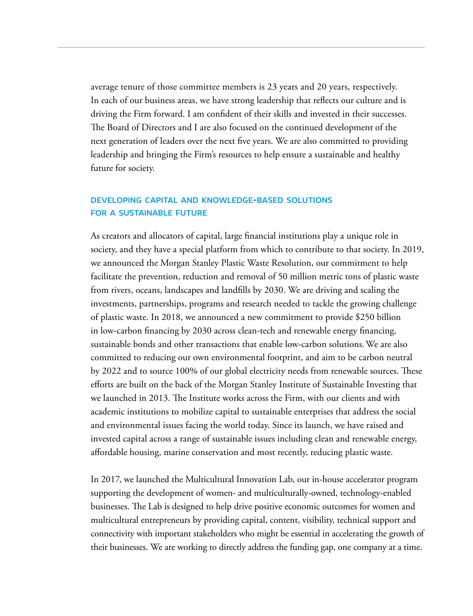average tenure of those committee members is 23 years and 20 years, respectively. In each of our business areas, we have strong leadership that reflects our culture and is driving the Firm forward. I am confident of their skills and invested in their successes. The Board of Directors and I are also focused on the continued development of the next generation of leaders over the next five years. We are also committed to providing leadership and bringing the Firm's resources to help ensure a sustainable and healthy future for society.

# developing capital and knowledge-based solutions FOR A SUSTAINABLE FUTURE

As creators and allocators of capital, large financial institutions play a unique role in society, and they have a special platform from which to contribute to that society. In 2019, we announced the Morgan Stanley Plastic Waste Resolution, our commitment to help facilitate the prevention, reduction and removal of 50 million metric tons of plastic waste from rivers, oceans, landscapes and landfills by 2030. We are driving and scaling the investments, partnerships, programs and research needed to tackle the growing challenge of plastic waste. In 2018, we announced a new commitment to provide \$250 billion in low-carbon financing by 2030 across clean-tech and renewable energy financing, sustainable bonds and other transactions that enable low-carbon solutions. We are also committed to reducing our own environmental footprint, and aim to be carbon neutral by 2022 and to source 100% of our global electricity needs from renewable sources. These efforts are built on the back of the Morgan Stanley Institute of Sustainable Investing that we launched in 2013. The Institute works across the Firm, with our clients and with academic institutions to mobilize capital to sustainable enterprises that address the social and environmental issues facing the world today. Since its launch, we have raised and invested capital across a range of sustainable issues including clean and renewable energy, affordable housing, marine conservation and most recently, reducing plastic waste.

In 2017, we launched the Multicultural Innovation Lab, our in-house accelerator program supporting the development of women- and multiculturally-owned, technology-enabled businesses. The Lab is designed to help drive positive economic outcomes for women and multicultural entrepreneurs by providing capital, content, visibility, technical support and connectivity with important stakeholders who might be essential in accelerating the growth of their businesses. We are working to directly address the funding gap, one company at a time.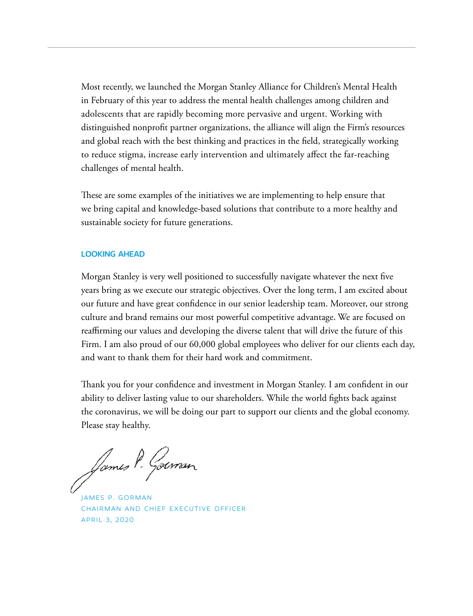Most recently, we launched the Morgan Stanley Alliance for Children's Mental Health in February of this year to address the mental health challenges among children and adolescents that are rapidly becoming more pervasive and urgent. Working with distinguished nonprofit partner organizations, the alliance will align the Firm's resources and global reach with the best thinking and practices in the field, strategically working to reduce stigma, increase early intervention and ultimately affect the far-reaching challenges of mental health.

These are some examples of the initiatives we are implementing to help ensure that we bring capital and knowledge-based solutions that contribute to a more healthy and sustainable society for future generations.

# looking ahead

Morgan Stanley is very well positioned to successfully navigate whatever the next five years bring as we execute our strategic objectives. Over the long term, I am excited about our future and have great confidence in our senior leadership team. Moreover, our strong culture and brand remains our most powerful competitive advantage. We are focused on reaffirming our values and developing the diverse talent that will drive the future of this Firm. I am also proud of our 60,000 global employees who deliver for our clients each day, and want to thank them for their hard work and commitment.

Thank you for your confidence and investment in Morgan Stanley. I am confident in our ability to deliver lasting value to our shareholders. While the world fights back against the coronavirus, we will be doing our part to support our clients and the global economy. Please stay healthy.

James P. Goernan

james p. gorman chairman and chief executive officer april 3, 2020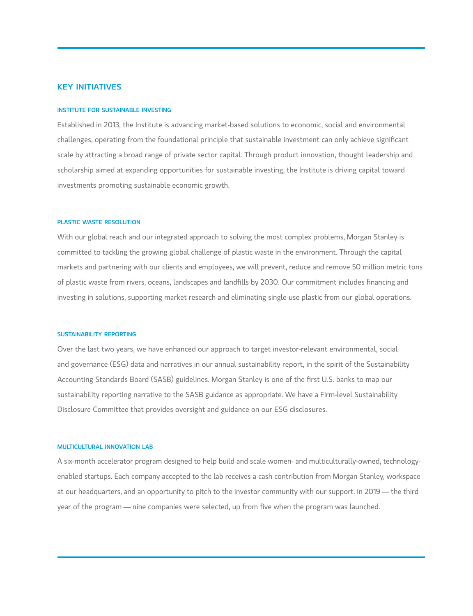# **KEY INITIATIVES**

#### institute for sustainable investing

Established in 2013, the Institute is advancing market-based solutions to economic, social and environmental challenges, operating from the foundational principle that sustainable investment can only achieve significant scale by attracting a broad range of private sector capital. Through product innovation, thought leadership and scholarship aimed at expanding opportunities for sustainable investing, the Institute is driving capital toward investments promoting sustainable economic growth.

#### plastic waste resolution

With our global reach and our integrated approach to solving the most complex problems, Morgan Stanley is committed to tackling the growing global challenge of plastic waste in the environment. Through the capital markets and partnering with our clients and employees, we will prevent, reduce and remove 50 million metric tons of plastic waste from rivers, oceans, landscapes and landfills by 2030. Our commitment includes financing and investing in solutions, supporting market research and eliminating single-use plastic from our global operations.

#### sustainability reporting

Over the last two years, we have enhanced our approach to target investor-relevant environmental, social and governance (ESG) data and narratives in our annual sustainability report, in the spirit of the Sustainability Accounting Standards Board (SASB) guidelines. Morgan Stanley is one of the first U.S. banks to map our sustainability reporting narrative to the SASB guidance as appropriate. We have a Firm-level Sustainability Disclosure Committee that provides oversight and guidance on our ESG disclosures.

#### multicultural innovation lab

A six-month accelerator program designed to help build and scale women- and multiculturally-owned, technologyenabled startups. Each company accepted to the lab receives a cash contribution from Morgan Stanley, workspace at our headquarters, and an opportunity to pitch to the investor community with our support. In 2019 — the third year of the program — nine companies were selected, up from five when the program was launched.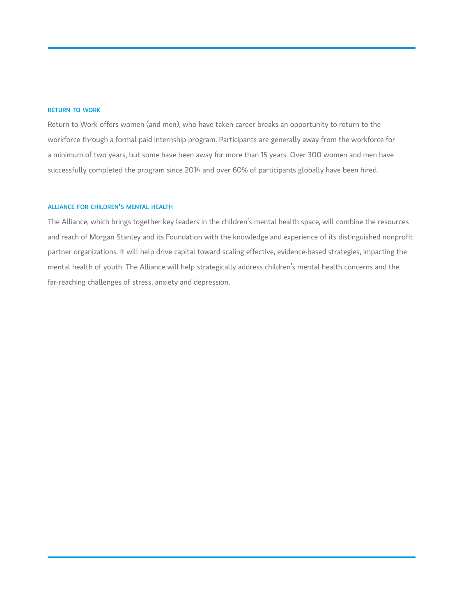#### return to work

Return to Work offers women (and men), who have taken career breaks an opportunity to return to the workforce through a formal paid internship program. Participants are generally away from the workforce for a minimum of two years, but some have been away for more than 15 years. Over 300 women and men have successfully completed the program since 2014 and over 60% of participants globally have been hired.

# alliance for children's mental health

The Alliance, which brings together key leaders in the children's mental health space, will combine the resources and reach of Morgan Stanley and its Foundation with the knowledge and experience of its distinguished nonprofit partner organizations. It will help drive capital toward scaling effective, evidence-based strategies, impacting the mental health of youth. The Alliance will help strategically address children's mental health concerns and the far-reaching challenges of stress, anxiety and depression.